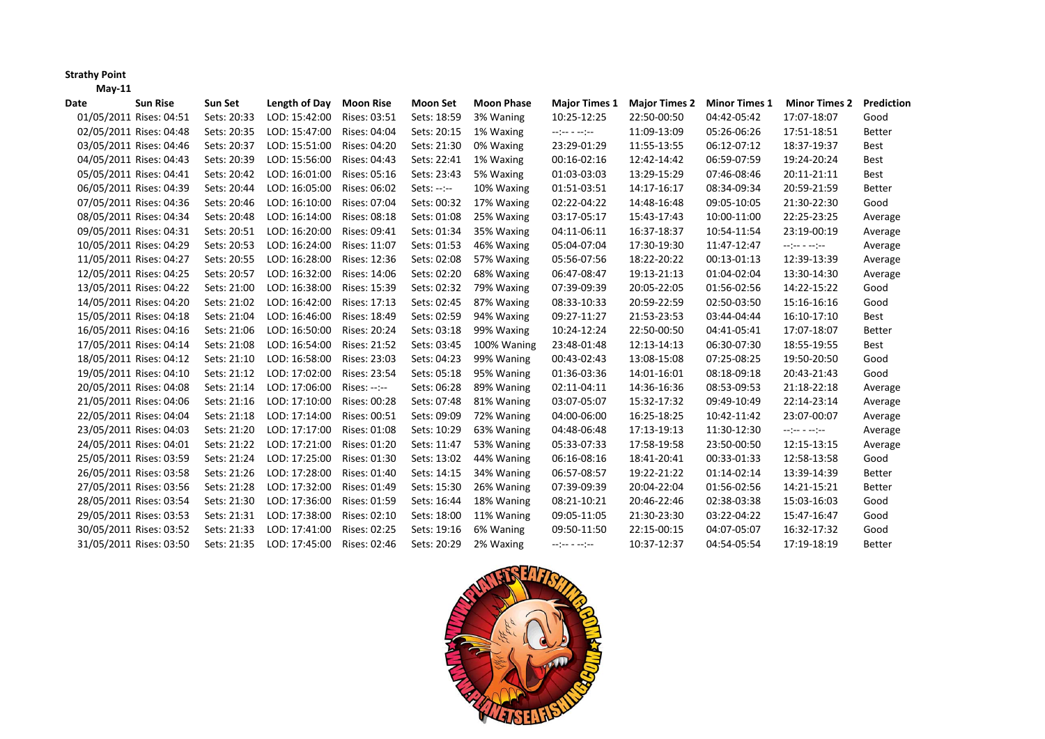## **Strathy Point**

**May‐11**

| Date | <b>Sun Rise</b>         | Sun Set     | Length of Day | <b>Moon Rise</b> | <b>Moon Set</b> | <b>Moon Phase</b> | <b>Major Times 1</b>            | <b>Major Times 2</b> | <b>Minor Times 1</b> | <b>Minor Times 2</b>                                                                                                                                                                           | Prediction    |
|------|-------------------------|-------------|---------------|------------------|-----------------|-------------------|---------------------------------|----------------------|----------------------|------------------------------------------------------------------------------------------------------------------------------------------------------------------------------------------------|---------------|
|      | 01/05/2011 Rises: 04:51 | Sets: 20:33 | LOD: 15:42:00 | Rises: 03:51     | Sets: 18:59     | 3% Waning         | 10:25-12:25                     | 22:50-00:50          | 04:42-05:42          | 17:07-18:07                                                                                                                                                                                    | Good          |
|      | 02/05/2011 Rises: 04:48 | Sets: 20:35 | LOD: 15:47:00 | Rises: 04:04     | Sets: 20:15     | 1% Waxing         | $-2 - 2 - 3 - 2 - 2 - 1$        | 11:09-13:09          | 05:26-06:26          | 17:51-18:51                                                                                                                                                                                    | <b>Better</b> |
|      | 03/05/2011 Rises: 04:46 | Sets: 20:37 | LOD: 15:51:00 | Rises: 04:20     | Sets: 21:30     | 0% Waxing         | 23:29-01:29                     | 11:55-13:55          | 06:12-07:12          | 18:37-19:37                                                                                                                                                                                    | Best          |
|      | 04/05/2011 Rises: 04:43 | Sets: 20:39 | LOD: 15:56:00 | Rises: 04:43     | Sets: 22:41     | 1% Waxing         | 00:16-02:16                     | 12:42-14:42          | 06:59-07:59          | 19:24-20:24                                                                                                                                                                                    | Best          |
|      | 05/05/2011 Rises: 04:41 | Sets: 20:42 | LOD: 16:01:00 | Rises: 05:16     | Sets: 23:43     | 5% Waxing         | 01:03-03:03                     | 13:29-15:29          | 07:46-08:46          | 20:11-21:11                                                                                                                                                                                    | Best          |
|      | 06/05/2011 Rises: 04:39 | Sets: 20:44 | LOD: 16:05:00 | Rises: 06:02     | $Sets: --: --$  | 10% Waxing        | 01:51-03:51                     | 14:17-16:17          | 08:34-09:34          | 20:59-21:59                                                                                                                                                                                    | <b>Better</b> |
|      | 07/05/2011 Rises: 04:36 | Sets: 20:46 | LOD: 16:10:00 | Rises: 07:04     | Sets: 00:32     | 17% Waxing        | 02:22-04:22                     | 14:48-16:48          | 09:05-10:05          | 21:30-22:30                                                                                                                                                                                    | Good          |
|      | 08/05/2011 Rises: 04:34 | Sets: 20:48 | LOD: 16:14:00 | Rises: 08:18     | Sets: 01:08     | 25% Waxing        | 03:17-05:17                     | 15:43-17:43          | 10:00-11:00          | 22:25-23:25                                                                                                                                                                                    | Average       |
|      | 09/05/2011 Rises: 04:31 | Sets: 20:51 | LOD: 16:20:00 | Rises: 09:41     | Sets: 01:34     | 35% Waxing        | 04:11-06:11                     | 16:37-18:37          | 10:54-11:54          | 23:19-00:19                                                                                                                                                                                    | Average       |
|      | 10/05/2011 Rises: 04:29 | Sets: 20:53 | LOD: 16:24:00 | Rises: 11:07     | Sets: 01:53     | 46% Waxing        | 05:04-07:04                     | 17:30-19:30          | 11:47-12:47          | $-2 - 2 - 2 - 2 - 2 - 2$                                                                                                                                                                       | Average       |
|      | 11/05/2011 Rises: 04:27 | Sets: 20:55 | LOD: 16:28:00 | Rises: 12:36     | Sets: 02:08     | 57% Waxing        | 05:56-07:56                     | 18:22-20:22          | 00:13-01:13          | 12:39-13:39                                                                                                                                                                                    | Average       |
|      | 12/05/2011 Rises: 04:25 | Sets: 20:57 | LOD: 16:32:00 | Rises: 14:06     | Sets: 02:20     | 68% Waxing        | 06:47-08:47                     | 19:13-21:13          | 01:04-02:04          | 13:30-14:30                                                                                                                                                                                    | Average       |
|      | 13/05/2011 Rises: 04:22 | Sets: 21:00 | LOD: 16:38:00 | Rises: 15:39     | Sets: 02:32     | 79% Waxing        | 07:39-09:39                     | 20:05-22:05          | 01:56-02:56          | 14:22-15:22                                                                                                                                                                                    | Good          |
|      | 14/05/2011 Rises: 04:20 | Sets: 21:02 | LOD: 16:42:00 | Rises: 17:13     | Sets: 02:45     | 87% Waxing        | 08:33-10:33                     | 20:59-22:59          | 02:50-03:50          | 15:16-16:16                                                                                                                                                                                    | Good          |
|      | 15/05/2011 Rises: 04:18 | Sets: 21:04 | LOD: 16:46:00 | Rises: 18:49     | Sets: 02:59     | 94% Waxing        | 09:27-11:27                     | 21:53-23:53          | 03:44-04:44          | 16:10-17:10                                                                                                                                                                                    | Best          |
|      | 16/05/2011 Rises: 04:16 | Sets: 21:06 | LOD: 16:50:00 | Rises: 20:24     | Sets: 03:18     | 99% Waxing        | 10:24-12:24                     | 22:50-00:50          | 04:41-05:41          | 17:07-18:07                                                                                                                                                                                    | <b>Better</b> |
|      | 17/05/2011 Rises: 04:14 | Sets: 21:08 | LOD: 16:54:00 | Rises: 21:52     | Sets: 03:45     | 100% Waning       | 23:48-01:48                     | 12:13-14:13          | 06:30-07:30          | 18:55-19:55                                                                                                                                                                                    | Best          |
|      | 18/05/2011 Rises: 04:12 | Sets: 21:10 | LOD: 16:58:00 | Rises: 23:03     | Sets: 04:23     | 99% Waning        | 00:43-02:43                     | 13:08-15:08          | 07:25-08:25          | 19:50-20:50                                                                                                                                                                                    | Good          |
|      | 19/05/2011 Rises: 04:10 | Sets: 21:12 | LOD: 17:02:00 | Rises: 23:54     | Sets: 05:18     | 95% Waning        | 01:36-03:36                     | 14:01-16:01          | 08:18-09:18          | 20:43-21:43                                                                                                                                                                                    | Good          |
|      | 20/05/2011 Rises: 04:08 | Sets: 21:14 | LOD: 17:06:00 | Rises: --:--     | Sets: 06:28     | 89% Waning        | 02:11-04:11                     | 14:36-16:36          | 08:53-09:53          | 21:18-22:18                                                                                                                                                                                    | Average       |
|      | 21/05/2011 Rises: 04:06 | Sets: 21:16 | LOD: 17:10:00 | Rises: 00:28     | Sets: 07:48     | 81% Waning        | 03:07-05:07                     | 15:32-17:32          | 09:49-10:49          | 22:14-23:14                                                                                                                                                                                    | Average       |
|      | 22/05/2011 Rises: 04:04 | Sets: 21:18 | LOD: 17:14:00 | Rises: 00:51     | Sets: 09:09     | 72% Waning        | 04:00-06:00                     | 16:25-18:25          | 10:42-11:42          | 23:07-00:07                                                                                                                                                                                    | Average       |
|      | 23/05/2011 Rises: 04:03 | Sets: 21:20 | LOD: 17:17:00 | Rises: 01:08     | Sets: 10:29     | 63% Waning        | 04:48-06:48                     | 17:13-19:13          | 11:30-12:30          | $\begin{split} \mathcal{L}_{\mathcal{P}}(\mathcal{L}_{\mathcal{P}}) = \mathcal{L}_{\mathcal{P}}(\mathcal{L}_{\mathcal{P}}) = \mathcal{L}_{\mathcal{P}}(\mathcal{L}_{\mathcal{P}}) \end{split}$ | Average       |
|      | 24/05/2011 Rises: 04:01 | Sets: 21:22 | LOD: 17:21:00 | Rises: 01:20     | Sets: 11:47     | 53% Waning        | 05:33-07:33                     | 17:58-19:58          | 23:50-00:50          | 12:15-13:15                                                                                                                                                                                    | Average       |
|      | 25/05/2011 Rises: 03:59 | Sets: 21:24 | LOD: 17:25:00 | Rises: 01:30     | Sets: 13:02     | 44% Waning        | 06:16-08:16                     | 18:41-20:41          | 00:33-01:33          | 12:58-13:58                                                                                                                                                                                    | Good          |
|      | 26/05/2011 Rises: 03:58 | Sets: 21:26 | LOD: 17:28:00 | Rises: 01:40     | Sets: 14:15     | 34% Waning        | 06:57-08:57                     | 19:22-21:22          | 01:14-02:14          | 13:39-14:39                                                                                                                                                                                    | <b>Better</b> |
|      | 27/05/2011 Rises: 03:56 | Sets: 21:28 | LOD: 17:32:00 | Rises: 01:49     | Sets: 15:30     | 26% Waning        | 07:39-09:39                     | 20:04-22:04          | 01:56-02:56          | 14:21-15:21                                                                                                                                                                                    | <b>Better</b> |
|      | 28/05/2011 Rises: 03:54 | Sets: 21:30 | LOD: 17:36:00 | Rises: 01:59     | Sets: 16:44     | 18% Waning        | 08:21-10:21                     | 20:46-22:46          | 02:38-03:38          | 15:03-16:03                                                                                                                                                                                    | Good          |
|      | 29/05/2011 Rises: 03:53 | Sets: 21:31 | LOD: 17:38:00 | Rises: 02:10     | Sets: 18:00     | 11% Waning        | 09:05-11:05                     | 21:30-23:30          | 03:22-04:22          | 15:47-16:47                                                                                                                                                                                    | Good          |
|      | 30/05/2011 Rises: 03:52 | Sets: 21:33 | LOD: 17:41:00 | Rises: 02:25     | Sets: 19:16     | 6% Waning         | 09:50-11:50                     | 22:15-00:15          | 04:07-05:07          | 16:32-17:32                                                                                                                                                                                    | Good          |
|      | 31/05/2011 Rises: 03:50 | Sets: 21:35 | LOD: 17:45:00 | Rises: 02:46     | Sets: 20:29     | 2% Waxing         | $-2$ ( $-2$ $-2$ $-2$ $-2$ $-2$ | 10:37-12:37          | 04:54-05:54          | 17:19-18:19                                                                                                                                                                                    | <b>Better</b> |

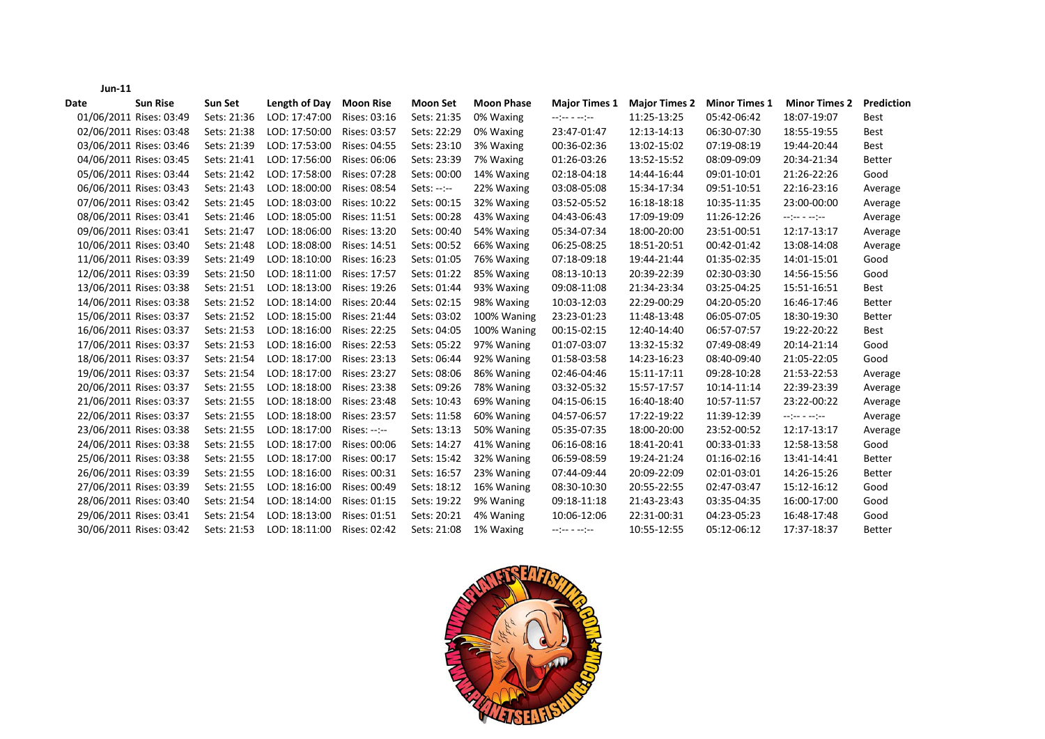|      | <b>Jun-11</b> |                         |             |               |                  |                 |                   |                                                                                                                                                                                                                                                                                                                                                                                                                                                               |                      |                      |                          |               |
|------|---------------|-------------------------|-------------|---------------|------------------|-----------------|-------------------|---------------------------------------------------------------------------------------------------------------------------------------------------------------------------------------------------------------------------------------------------------------------------------------------------------------------------------------------------------------------------------------------------------------------------------------------------------------|----------------------|----------------------|--------------------------|---------------|
| Date |               | <b>Sun Rise</b>         | Sun Set     | Length of Day | <b>Moon Rise</b> | <b>Moon Set</b> | <b>Moon Phase</b> | <b>Major Times 1</b>                                                                                                                                                                                                                                                                                                                                                                                                                                          | <b>Major Times 2</b> | <b>Minor Times 1</b> | <b>Minor Times 2</b>     | Prediction    |
|      |               | 01/06/2011 Rises: 03:49 | Sets: 21:36 | LOD: 17:47:00 | Rises: 03:16     | Sets: 21:35     | 0% Waxing         | $\begin{split} \mathcal{L} & = \frac{1}{2} \mathcal{L} \mathcal{L} \mathcal{L} \mathcal{L} \mathcal{L} \mathcal{L} \mathcal{L} \mathcal{L} \mathcal{L} \mathcal{L} \mathcal{L} \mathcal{L} \mathcal{L} \mathcal{L} \mathcal{L} \mathcal{L} \mathcal{L} \mathcal{L} \mathcal{L} \mathcal{L} \mathcal{L} \mathcal{L} \mathcal{L} \mathcal{L} \mathcal{L} \mathcal{L} \mathcal{L} \mathcal{L} \mathcal{L} \mathcal{L} \mathcal{L} \mathcal{L} \mathcal{L} \math$ | 11:25-13:25          | 05:42-06:42          | 18:07-19:07              | <b>Best</b>   |
|      |               | 02/06/2011 Rises: 03:48 | Sets: 21:38 | LOD: 17:50:00 | Rises: 03:57     | Sets: 22:29     | 0% Waxing         | 23:47-01:47                                                                                                                                                                                                                                                                                                                                                                                                                                                   | 12:13-14:13          | 06:30-07:30          | 18:55-19:55              | Best          |
|      |               | 03/06/2011 Rises: 03:46 | Sets: 21:39 | LOD: 17:53:00 | Rises: 04:55     | Sets: 23:10     | 3% Waxing         | 00:36-02:36                                                                                                                                                                                                                                                                                                                                                                                                                                                   | 13:02-15:02          | 07:19-08:19          | 19:44-20:44              | Best          |
|      |               | 04/06/2011 Rises: 03:45 | Sets: 21:41 | LOD: 17:56:00 | Rises: 06:06     | Sets: 23:39     | 7% Waxing         | 01:26-03:26                                                                                                                                                                                                                                                                                                                                                                                                                                                   | 13:52-15:52          | 08:09-09:09          | 20:34-21:34              | <b>Better</b> |
|      |               | 05/06/2011 Rises: 03:44 | Sets: 21:42 | LOD: 17:58:00 | Rises: 07:28     | Sets: 00:00     | 14% Waxing        | 02:18-04:18                                                                                                                                                                                                                                                                                                                                                                                                                                                   | 14:44-16:44          | 09:01-10:01          | 21:26-22:26              | Good          |
|      |               | 06/06/2011 Rises: 03:43 | Sets: 21:43 | LOD: 18:00:00 | Rises: 08:54     | $Sets: --: --$  | 22% Waxing        | 03:08-05:08                                                                                                                                                                                                                                                                                                                                                                                                                                                   | 15:34-17:34          | 09:51-10:51          | 22:16-23:16              | Average       |
|      |               | 07/06/2011 Rises: 03:42 | Sets: 21:45 | LOD: 18:03:00 | Rises: 10:22     | Sets: 00:15     | 32% Waxing        | 03:52-05:52                                                                                                                                                                                                                                                                                                                                                                                                                                                   | 16:18-18:18          | 10:35-11:35          | 23:00-00:00              | Average       |
|      |               | 08/06/2011 Rises: 03:41 | Sets: 21:46 | LOD: 18:05:00 | Rises: 11:51     | Sets: 00:28     | 43% Waxing        | 04:43-06:43                                                                                                                                                                                                                                                                                                                                                                                                                                                   | 17:09-19:09          | 11:26-12:26          | --:-----:-               | Average       |
|      |               | 09/06/2011 Rises: 03:41 | Sets: 21:47 | LOD: 18:06:00 | Rises: 13:20     | Sets: 00:40     | 54% Waxing        | 05:34-07:34                                                                                                                                                                                                                                                                                                                                                                                                                                                   | 18:00-20:00          | 23:51-00:51          | 12:17-13:17              | Average       |
|      |               | 10/06/2011 Rises: 03:40 | Sets: 21:48 | LOD: 18:08:00 | Rises: 14:51     | Sets: 00:52     | 66% Waxing        | 06:25-08:25                                                                                                                                                                                                                                                                                                                                                                                                                                                   | 18:51-20:51          | 00:42-01:42          | 13:08-14:08              | Average       |
|      |               | 11/06/2011 Rises: 03:39 | Sets: 21:49 | LOD: 18:10:00 | Rises: 16:23     | Sets: 01:05     | 76% Waxing        | 07:18-09:18                                                                                                                                                                                                                                                                                                                                                                                                                                                   | 19:44-21:44          | 01:35-02:35          | 14:01-15:01              | Good          |
|      |               | 12/06/2011 Rises: 03:39 | Sets: 21:50 | LOD: 18:11:00 | Rises: 17:57     | Sets: 01:22     | 85% Waxing        | 08:13-10:13                                                                                                                                                                                                                                                                                                                                                                                                                                                   | 20:39-22:39          | 02:30-03:30          | 14:56-15:56              | Good          |
|      |               | 13/06/2011 Rises: 03:38 | Sets: 21:51 | LOD: 18:13:00 | Rises: 19:26     | Sets: 01:44     | 93% Waxing        | 09:08-11:08                                                                                                                                                                                                                                                                                                                                                                                                                                                   | 21:34-23:34          | 03:25-04:25          | 15:51-16:51              | Best          |
|      |               | 14/06/2011 Rises: 03:38 | Sets: 21:52 | LOD: 18:14:00 | Rises: 20:44     | Sets: 02:15     | 98% Waxing        | 10:03-12:03                                                                                                                                                                                                                                                                                                                                                                                                                                                   | 22:29-00:29          | 04:20-05:20          | 16:46-17:46              | <b>Better</b> |
|      |               | 15/06/2011 Rises: 03:37 | Sets: 21:52 | LOD: 18:15:00 | Rises: 21:44     | Sets: 03:02     | 100% Waning       | 23:23-01:23                                                                                                                                                                                                                                                                                                                                                                                                                                                   | 11:48-13:48          | 06:05-07:05          | 18:30-19:30              | <b>Better</b> |
|      |               | 16/06/2011 Rises: 03:37 | Sets: 21:53 | LOD: 18:16:00 | Rises: 22:25     | Sets: 04:05     | 100% Waning       | 00:15-02:15                                                                                                                                                                                                                                                                                                                                                                                                                                                   | 12:40-14:40          | 06:57-07:57          | 19:22-20:22              | Best          |
|      |               | 17/06/2011 Rises: 03:37 | Sets: 21:53 | LOD: 18:16:00 | Rises: 22:53     | Sets: 05:22     | 97% Waning        | 01:07-03:07                                                                                                                                                                                                                                                                                                                                                                                                                                                   | 13:32-15:32          | 07:49-08:49          | 20:14-21:14              | Good          |
|      |               | 18/06/2011 Rises: 03:37 | Sets: 21:54 | LOD: 18:17:00 | Rises: 23:13     | Sets: 06:44     | 92% Waning        | 01:58-03:58                                                                                                                                                                                                                                                                                                                                                                                                                                                   | 14:23-16:23          | 08:40-09:40          | 21:05-22:05              | Good          |
|      |               | 19/06/2011 Rises: 03:37 | Sets: 21:54 | LOD: 18:17:00 | Rises: 23:27     | Sets: 08:06     | 86% Waning        | 02:46-04:46                                                                                                                                                                                                                                                                                                                                                                                                                                                   | 15:11-17:11          | 09:28-10:28          | 21:53-22:53              | Average       |
|      |               | 20/06/2011 Rises: 03:37 | Sets: 21:55 | LOD: 18:18:00 | Rises: 23:38     | Sets: 09:26     | 78% Waning        | 03:32-05:32                                                                                                                                                                                                                                                                                                                                                                                                                                                   | 15:57-17:57          | 10:14-11:14          | 22:39-23:39              | Average       |
|      |               | 21/06/2011 Rises: 03:37 | Sets: 21:55 | LOD: 18:18:00 | Rises: 23:48     | Sets: 10:43     | 69% Waning        | 04:15-06:15                                                                                                                                                                                                                                                                                                                                                                                                                                                   | 16:40-18:40          | 10:57-11:57          | 23:22-00:22              | Average       |
|      |               | 22/06/2011 Rises: 03:37 | Sets: 21:55 | LOD: 18:18:00 | Rises: 23:57     | Sets: 11:58     | 60% Waning        | 04:57-06:57                                                                                                                                                                                                                                                                                                                                                                                                                                                   | 17:22-19:22          | 11:39-12:39          | $-2 = 1 - 1 = 1 - 1 = 1$ | Average       |
|      |               | 23/06/2011 Rises: 03:38 | Sets: 21:55 | LOD: 18:17:00 | Rises: --:--     | Sets: 13:13     | 50% Waning        | 05:35-07:35                                                                                                                                                                                                                                                                                                                                                                                                                                                   | 18:00-20:00          | 23:52-00:52          | 12:17-13:17              | Average       |
|      |               | 24/06/2011 Rises: 03:38 | Sets: 21:55 | LOD: 18:17:00 | Rises: 00:06     | Sets: 14:27     | 41% Waning        | 06:16-08:16                                                                                                                                                                                                                                                                                                                                                                                                                                                   | 18:41-20:41          | 00:33-01:33          | 12:58-13:58              | Good          |
|      |               | 25/06/2011 Rises: 03:38 | Sets: 21:55 | LOD: 18:17:00 | Rises: 00:17     | Sets: 15:42     | 32% Waning        | 06:59-08:59                                                                                                                                                                                                                                                                                                                                                                                                                                                   | 19:24-21:24          | 01:16-02:16          | 13:41-14:41              | <b>Better</b> |
|      |               | 26/06/2011 Rises: 03:39 | Sets: 21:55 | LOD: 18:16:00 | Rises: 00:31     | Sets: 16:57     | 23% Waning        | 07:44-09:44                                                                                                                                                                                                                                                                                                                                                                                                                                                   | 20:09-22:09          | 02:01-03:01          | 14:26-15:26              | <b>Better</b> |
|      |               | 27/06/2011 Rises: 03:39 | Sets: 21:55 | LOD: 18:16:00 | Rises: 00:49     | Sets: 18:12     | 16% Waning        | 08:30-10:30                                                                                                                                                                                                                                                                                                                                                                                                                                                   | 20:55-22:55          | 02:47-03:47          | 15:12-16:12              | Good          |
|      |               | 28/06/2011 Rises: 03:40 | Sets: 21:54 | LOD: 18:14:00 | Rises: 01:15     | Sets: 19:22     | 9% Waning         | 09:18-11:18                                                                                                                                                                                                                                                                                                                                                                                                                                                   | 21:43-23:43          | 03:35-04:35          | 16:00-17:00              | Good          |
|      |               | 29/06/2011 Rises: 03:41 | Sets: 21:54 | LOD: 18:13:00 | Rises: 01:51     | Sets: 20:21     | 4% Waning         | 10:06-12:06                                                                                                                                                                                                                                                                                                                                                                                                                                                   | 22:31-00:31          | 04:23-05:23          | 16:48-17:48              | Good          |
|      |               | 30/06/2011 Rises: 03:42 | Sets: 21:53 | LOD: 18:11:00 | Rises: 02:42     | Sets: 21:08     | 1% Waxing         | $\begin{split} \mathcal{L} = \begin{bmatrix} \mathcal{L} \mathcal{L} & \mathcal{L} \end{bmatrix} = \begin{bmatrix} \mathcal{L} \mathcal{L} \mathcal{L} \end{bmatrix} = \mathcal{L} \end{split}$                                                                                                                                                                                                                                                               | 10:55-12:55          | 05:12-06:12          | 17:37-18:37              | <b>Better</b> |

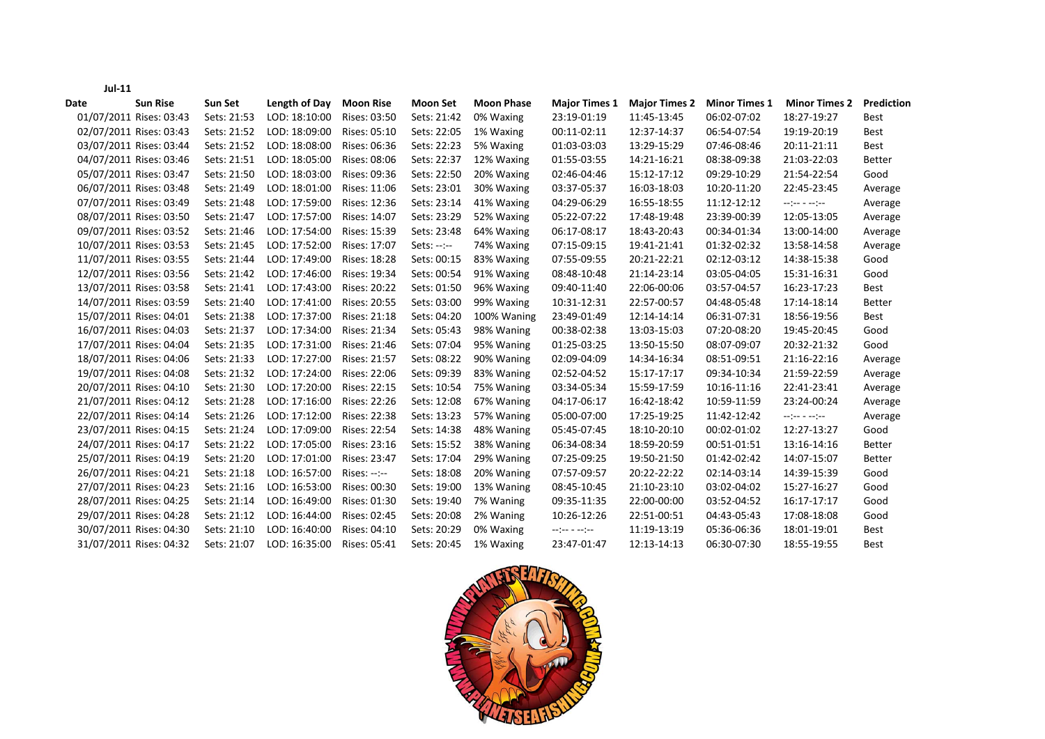| <b>Sun Rise</b><br>Date | Sun Set     | Length of Day | <b>Moon Rise</b> | Moon Set       | <b>Moon Phase</b> | <b>Major Times 1</b>            | <b>Major Times 2</b> | <b>Minor Times 1</b> | <b>Minor Times 2</b>                                                                                                                                                                                                                                                                 | Prediction    |
|-------------------------|-------------|---------------|------------------|----------------|-------------------|---------------------------------|----------------------|----------------------|--------------------------------------------------------------------------------------------------------------------------------------------------------------------------------------------------------------------------------------------------------------------------------------|---------------|
| 01/07/2011 Rises: 03:43 | Sets: 21:53 | LOD: 18:10:00 | Rises: 03:50     | Sets: 21:42    | 0% Waxing         | 23:19-01:19                     | 11:45-13:45          | 06:02-07:02          | 18:27-19:27                                                                                                                                                                                                                                                                          | Best          |
| 02/07/2011 Rises: 03:43 | Sets: 21:52 | LOD: 18:09:00 | Rises: 05:10     | Sets: 22:05    | 1% Waxing         | 00:11-02:11                     | 12:37-14:37          | 06:54-07:54          | 19:19-20:19                                                                                                                                                                                                                                                                          | Best          |
| 03/07/2011 Rises: 03:44 | Sets: 21:52 | LOD: 18:08:00 | Rises: 06:36     | Sets: 22:23    | 5% Waxing         | 01:03-03:03                     | 13:29-15:29          | 07:46-08:46          | 20:11-21:11                                                                                                                                                                                                                                                                          | Best          |
| 04/07/2011 Rises: 03:46 | Sets: 21:51 | LOD: 18:05:00 | Rises: 08:06     | Sets: 22:37    | 12% Waxing        | 01:55-03:55                     | 14:21-16:21          | 08:38-09:38          | 21:03-22:03                                                                                                                                                                                                                                                                          | <b>Better</b> |
| 05/07/2011 Rises: 03:47 | Sets: 21:50 | LOD: 18:03:00 | Rises: 09:36     | Sets: 22:50    | 20% Waxing        | 02:46-04:46                     | 15:12-17:12          | 09:29-10:29          | 21:54-22:54                                                                                                                                                                                                                                                                          | Good          |
| 06/07/2011 Rises: 03:48 | Sets: 21:49 | LOD: 18:01:00 | Rises: 11:06     | Sets: 23:01    | 30% Waxing        | 03:37-05:37                     | 16:03-18:03          | 10:20-11:20          | 22:45-23:45                                                                                                                                                                                                                                                                          | Average       |
| 07/07/2011 Rises: 03:49 | Sets: 21:48 | LOD: 17:59:00 | Rises: 12:36     | Sets: 23:14    | 41% Waxing        | 04:29-06:29                     | 16:55-18:55          | 11:12-12:12          | $\begin{split} \mathcal{L} & = \begin{bmatrix} \mathcal{L} & \mathcal{L} & \mathcal{L} & \mathcal{L} & \mathcal{L} & \mathcal{L} \\ \mathcal{L} & \mathcal{L} & \mathcal{L} & \mathcal{L} & \mathcal{L} & \mathcal{L} \end{bmatrix} \mathcal{L} \mathcal{L} \mathcal{L} \end{split}$ | Average       |
| 08/07/2011 Rises: 03:50 | Sets: 21:47 | LOD: 17:57:00 | Rises: 14:07     | Sets: 23:29    | 52% Waxing        | 05:22-07:22                     | 17:48-19:48          | 23:39-00:39          | 12:05-13:05                                                                                                                                                                                                                                                                          | Average       |
| 09/07/2011 Rises: 03:52 | Sets: 21:46 | LOD: 17:54:00 | Rises: 15:39     | Sets: 23:48    | 64% Waxing        | 06:17-08:17                     | 18:43-20:43          | 00:34-01:34          | 13:00-14:00                                                                                                                                                                                                                                                                          | Average       |
| 10/07/2011 Rises: 03:53 | Sets: 21:45 | LOD: 17:52:00 | Rises: 17:07     | $Sets: --: --$ | 74% Waxing        | 07:15-09:15                     | 19:41-21:41          | 01:32-02:32          | 13:58-14:58                                                                                                                                                                                                                                                                          | Average       |
| 11/07/2011 Rises: 03:55 | Sets: 21:44 | LOD: 17:49:00 | Rises: 18:28     | Sets: 00:15    | 83% Waxing        | 07:55-09:55                     | 20:21-22:21          | 02:12-03:12          | 14:38-15:38                                                                                                                                                                                                                                                                          | Good          |
| 12/07/2011 Rises: 03:56 | Sets: 21:42 | LOD: 17:46:00 | Rises: 19:34     | Sets: 00:54    | 91% Waxing        | 08:48-10:48                     | 21:14-23:14          | 03:05-04:05          | 15:31-16:31                                                                                                                                                                                                                                                                          | Good          |
| 13/07/2011 Rises: 03:58 | Sets: 21:41 | LOD: 17:43:00 | Rises: 20:22     | Sets: 01:50    | 96% Waxing        | 09:40-11:40                     | 22:06-00:06          | 03:57-04:57          | 16:23-17:23                                                                                                                                                                                                                                                                          | Best          |
| 14/07/2011 Rises: 03:59 | Sets: 21:40 | LOD: 17:41:00 | Rises: 20:55     | Sets: 03:00    | 99% Waxing        | 10:31-12:31                     | 22:57-00:57          | 04:48-05:48          | 17:14-18:14                                                                                                                                                                                                                                                                          | <b>Better</b> |
| 15/07/2011 Rises: 04:01 | Sets: 21:38 | LOD: 17:37:00 | Rises: 21:18     | Sets: 04:20    | 100% Waning       | 23:49-01:49                     | 12:14-14:14          | 06:31-07:31          | 18:56-19:56                                                                                                                                                                                                                                                                          | <b>Best</b>   |
| 16/07/2011 Rises: 04:03 | Sets: 21:37 | LOD: 17:34:00 | Rises: 21:34     | Sets: 05:43    | 98% Waning        | 00:38-02:38                     | 13:03-15:03          | 07:20-08:20          | 19:45-20:45                                                                                                                                                                                                                                                                          | Good          |
| 17/07/2011 Rises: 04:04 | Sets: 21:35 | LOD: 17:31:00 | Rises: 21:46     | Sets: 07:04    | 95% Waning        | 01:25-03:25                     | 13:50-15:50          | 08:07-09:07          | 20:32-21:32                                                                                                                                                                                                                                                                          | Good          |
| 18/07/2011 Rises: 04:06 | Sets: 21:33 | LOD: 17:27:00 | Rises: 21:57     | Sets: 08:22    | 90% Waning        | 02:09-04:09                     | 14:34-16:34          | 08:51-09:51          | 21:16-22:16                                                                                                                                                                                                                                                                          | Average       |
| 19/07/2011 Rises: 04:08 | Sets: 21:32 | LOD: 17:24:00 | Rises: 22:06     | Sets: 09:39    | 83% Waning        | 02:52-04:52                     | 15:17-17:17          | 09:34-10:34          | 21:59-22:59                                                                                                                                                                                                                                                                          | Average       |
| 20/07/2011 Rises: 04:10 | Sets: 21:30 | LOD: 17:20:00 | Rises: 22:15     | Sets: 10:54    | 75% Waning        | 03:34-05:34                     | 15:59-17:59          | 10:16-11:16          | 22:41-23:41                                                                                                                                                                                                                                                                          | Average       |
| 21/07/2011 Rises: 04:12 | Sets: 21:28 | LOD: 17:16:00 | Rises: 22:26     | Sets: 12:08    | 67% Waning        | 04:17-06:17                     | 16:42-18:42          | 10:59-11:59          | 23:24-00:24                                                                                                                                                                                                                                                                          | Average       |
| 22/07/2011 Rises: 04:14 | Sets: 21:26 | LOD: 17:12:00 | Rises: 22:38     | Sets: 13:23    | 57% Waning        | 05:00-07:00                     | 17:25-19:25          | 11:42-12:42          | $\begin{split} \mathcal{L} & = \frac{1}{2} \mathcal{L} \mathcal{L} \quad \mathcal{L} \quad \mathcal{L} \quad \mathcal{L} \mathcal{L} \quad \mathcal{L} \mathcal{L} \end{split}$                                                                                                      | Average       |
| 23/07/2011 Rises: 04:15 | Sets: 21:24 | LOD: 17:09:00 | Rises: 22:54     | Sets: 14:38    | 48% Waning        | 05:45-07:45                     | 18:10-20:10          | 00:02-01:02          | 12:27-13:27                                                                                                                                                                                                                                                                          | Good          |
| 24/07/2011 Rises: 04:17 | Sets: 21:22 | LOD: 17:05:00 | Rises: 23:16     | Sets: 15:52    | 38% Waning        | 06:34-08:34                     | 18:59-20:59          | 00:51-01:51          | 13:16-14:16                                                                                                                                                                                                                                                                          | <b>Better</b> |
| 25/07/2011 Rises: 04:19 | Sets: 21:20 | LOD: 17:01:00 | Rises: 23:47     | Sets: 17:04    | 29% Waning        | 07:25-09:25                     | 19:50-21:50          | 01:42-02:42          | 14:07-15:07                                                                                                                                                                                                                                                                          | <b>Better</b> |
| 26/07/2011 Rises: 04:21 | Sets: 21:18 | LOD: 16:57:00 | Rises: --:--     | Sets: 18:08    | 20% Waning        | 07:57-09:57                     | 20:22-22:22          | 02:14-03:14          | 14:39-15:39                                                                                                                                                                                                                                                                          | Good          |
| 27/07/2011 Rises: 04:23 | Sets: 21:16 | LOD: 16:53:00 | Rises: 00:30     | Sets: 19:00    | 13% Waning        | 08:45-10:45                     | 21:10-23:10          | 03:02-04:02          | 15:27-16:27                                                                                                                                                                                                                                                                          | Good          |
| 28/07/2011 Rises: 04:25 | Sets: 21:14 | LOD: 16:49:00 | Rises: 01:30     | Sets: 19:40    | 7% Waning         | 09:35-11:35                     | 22:00-00:00          | 03:52-04:52          | 16:17-17:17                                                                                                                                                                                                                                                                          | Good          |
| 29/07/2011 Rises: 04:28 | Sets: 21:12 | LOD: 16:44:00 | Rises: 02:45     | Sets: 20:08    | 2% Waning         | 10:26-12:26                     | 22:51-00:51          | 04:43-05:43          | 17:08-18:08                                                                                                                                                                                                                                                                          | Good          |
| 30/07/2011 Rises: 04:30 | Sets: 21:10 | LOD: 16:40:00 | Rises: 04:10     | Sets: 20:29    | 0% Waxing         | $-2$ ( $-2$ $-2$ $-2$ $-2$ $-2$ | 11:19-13:19          | 05:36-06:36          | 18:01-19:01                                                                                                                                                                                                                                                                          | <b>Best</b>   |
| 31/07/2011 Rises: 04:32 | Sets: 21:07 | LOD: 16:35:00 | Rises: 05:41     | Sets: 20:45    | 1% Waxing         | 23:47-01:47                     | 12:13-14:13          | 06:30-07:30          | 18:55-19:55                                                                                                                                                                                                                                                                          | <b>Best</b>   |



## **Jul‐11**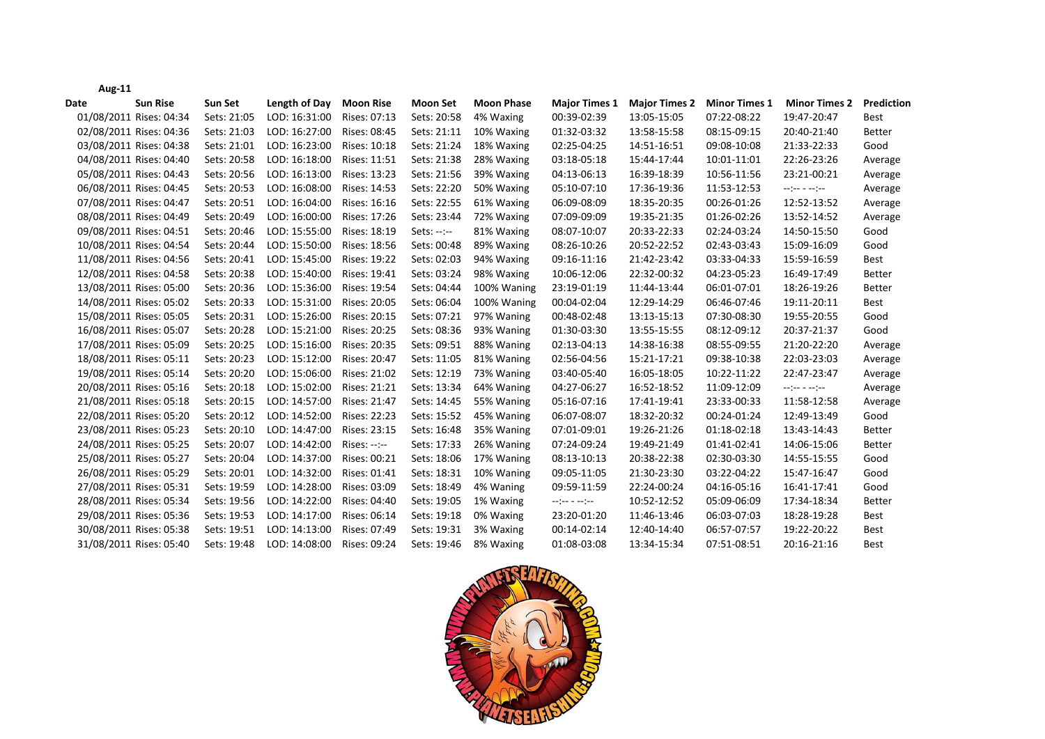| −י ה                    |             |               |                  |                 |                   |                                                                                                                                                                                                                                        |                      |                      |                                                                                                                                                                                                                                                                                                                                                                                                                                                                                                  |               |
|-------------------------|-------------|---------------|------------------|-----------------|-------------------|----------------------------------------------------------------------------------------------------------------------------------------------------------------------------------------------------------------------------------------|----------------------|----------------------|--------------------------------------------------------------------------------------------------------------------------------------------------------------------------------------------------------------------------------------------------------------------------------------------------------------------------------------------------------------------------------------------------------------------------------------------------------------------------------------------------|---------------|
| <b>Sun Rise</b><br>Date | Sun Set     | Length of Day | <b>Moon Rise</b> | <b>Moon Set</b> | <b>Moon Phase</b> | <b>Major Times 1</b>                                                                                                                                                                                                                   | <b>Major Times 2</b> | <b>Minor Times 1</b> | <b>Minor Times 2</b>                                                                                                                                                                                                                                                                                                                                                                                                                                                                             | Prediction    |
| 01/08/2011 Rises: 04:34 | Sets: 21:05 | LOD: 16:31:00 | Rises: 07:13     | Sets: 20:58     | 4% Waxing         | 00:39-02:39                                                                                                                                                                                                                            | 13:05-15:05          | 07:22-08:22          | 19:47-20:47                                                                                                                                                                                                                                                                                                                                                                                                                                                                                      | <b>Best</b>   |
| 02/08/2011 Rises: 04:36 | Sets: 21:03 | LOD: 16:27:00 | Rises: 08:45     | Sets: 21:11     | 10% Waxing        | 01:32-03:32                                                                                                                                                                                                                            | 13:58-15:58          | 08:15-09:15          | 20:40-21:40                                                                                                                                                                                                                                                                                                                                                                                                                                                                                      | <b>Better</b> |
| 03/08/2011 Rises: 04:38 | Sets: 21:01 | LOD: 16:23:00 | Rises: 10:18     | Sets: 21:24     | 18% Waxing        | 02:25-04:25                                                                                                                                                                                                                            | 14:51-16:51          | 09:08-10:08          | 21:33-22:33                                                                                                                                                                                                                                                                                                                                                                                                                                                                                      | Good          |
| 04/08/2011 Rises: 04:40 | Sets: 20:58 | LOD: 16:18:00 | Rises: 11:51     | Sets: 21:38     | 28% Waxing        | 03:18-05:18                                                                                                                                                                                                                            | 15:44-17:44          | 10:01-11:01          | 22:26-23:26                                                                                                                                                                                                                                                                                                                                                                                                                                                                                      | Average       |
| 05/08/2011 Rises: 04:43 | Sets: 20:56 | LOD: 16:13:00 | Rises: 13:23     | Sets: 21:56     | 39% Waxing        | 04:13-06:13                                                                                                                                                                                                                            | 16:39-18:39          | 10:56-11:56          | 23:21-00:21                                                                                                                                                                                                                                                                                                                                                                                                                                                                                      | Average       |
| 06/08/2011 Rises: 04:45 | Sets: 20:53 | LOD: 16:08:00 | Rises: 14:53     | Sets: 22:20     | 50% Waxing        | 05:10-07:10                                                                                                                                                                                                                            | 17:36-19:36          | 11:53-12:53          | $\begin{split} \mathcal{L}_{\mathcal{P}}(\mathcal{P}) = \mathcal{L}_{\mathcal{P}}(\mathcal{P}) = \mathcal{L}_{\mathcal{P}}(\mathcal{P}) = \mathcal{L}_{\mathcal{P}}(\mathcal{P}) = \mathcal{L}_{\mathcal{P}}(\mathcal{P}) = \mathcal{L}_{\mathcal{P}}(\mathcal{P}) = \mathcal{L}_{\mathcal{P}}(\mathcal{P}) = \mathcal{L}_{\mathcal{P}}(\mathcal{P}) = \mathcal{L}_{\mathcal{P}}(\mathcal{P}) = \mathcal{L}_{\mathcal{P}}(\mathcal{P}) = \mathcal{L}_{\mathcal{P}}(\mathcal{P}) = \mathcal{L}_{$ | Average       |
| 07/08/2011 Rises: 04:47 | Sets: 20:51 | LOD: 16:04:00 | Rises: 16:16     | Sets: 22:55     | 61% Waxing        | 06:09-08:09                                                                                                                                                                                                                            | 18:35-20:35          | 00:26-01:26          | 12:52-13:52                                                                                                                                                                                                                                                                                                                                                                                                                                                                                      | Average       |
| 08/08/2011 Rises: 04:49 | Sets: 20:49 | LOD: 16:00:00 | Rises: 17:26     | Sets: 23:44     | 72% Waxing        | 07:09-09:09                                                                                                                                                                                                                            | 19:35-21:35          | 01:26-02:26          | 13:52-14:52                                                                                                                                                                                                                                                                                                                                                                                                                                                                                      | Average       |
| 09/08/2011 Rises: 04:51 | Sets: 20:46 | LOD: 15:55:00 | Rises: 18:19     | $Sets: --: --$  | 81% Waxing        | 08:07-10:07                                                                                                                                                                                                                            | 20:33-22:33          | 02:24-03:24          | 14:50-15:50                                                                                                                                                                                                                                                                                                                                                                                                                                                                                      | Good          |
| 10/08/2011 Rises: 04:54 | Sets: 20:44 | LOD: 15:50:00 | Rises: 18:56     | Sets: 00:48     | 89% Waxing        | 08:26-10:26                                                                                                                                                                                                                            | 20:52-22:52          | 02:43-03:43          | 15:09-16:09                                                                                                                                                                                                                                                                                                                                                                                                                                                                                      | Good          |
| 11/08/2011 Rises: 04:56 | Sets: 20:41 | LOD: 15:45:00 | Rises: 19:22     | Sets: 02:03     | 94% Waxing        | 09:16-11:16                                                                                                                                                                                                                            | 21:42-23:42          | 03:33-04:33          | 15:59-16:59                                                                                                                                                                                                                                                                                                                                                                                                                                                                                      | <b>Best</b>   |
| 12/08/2011 Rises: 04:58 | Sets: 20:38 | LOD: 15:40:00 | Rises: 19:41     | Sets: 03:24     | 98% Waxing        | 10:06-12:06                                                                                                                                                                                                                            | 22:32-00:32          | 04:23-05:23          | 16:49-17:49                                                                                                                                                                                                                                                                                                                                                                                                                                                                                      | <b>Better</b> |
| 13/08/2011 Rises: 05:00 | Sets: 20:36 | LOD: 15:36:00 | Rises: 19:54     | Sets: 04:44     | 100% Waning       | 23:19-01:19                                                                                                                                                                                                                            | 11:44-13:44          | 06:01-07:01          | 18:26-19:26                                                                                                                                                                                                                                                                                                                                                                                                                                                                                      | <b>Better</b> |
| 14/08/2011 Rises: 05:02 | Sets: 20:33 | LOD: 15:31:00 | Rises: 20:05     | Sets: 06:04     | 100% Waning       | 00:04-02:04                                                                                                                                                                                                                            | 12:29-14:29          | 06:46-07:46          | 19:11-20:11                                                                                                                                                                                                                                                                                                                                                                                                                                                                                      | <b>Best</b>   |
| 15/08/2011 Rises: 05:05 | Sets: 20:31 | LOD: 15:26:00 | Rises: 20:15     | Sets: 07:21     | 97% Waning        | 00:48-02:48                                                                                                                                                                                                                            | 13:13-15:13          | 07:30-08:30          | 19:55-20:55                                                                                                                                                                                                                                                                                                                                                                                                                                                                                      | Good          |
| 16/08/2011 Rises: 05:07 | Sets: 20:28 | LOD: 15:21:00 | Rises: 20:25     | Sets: 08:36     | 93% Waning        | 01:30-03:30                                                                                                                                                                                                                            | 13:55-15:55          | 08:12-09:12          | 20:37-21:37                                                                                                                                                                                                                                                                                                                                                                                                                                                                                      | Good          |
| 17/08/2011 Rises: 05:09 | Sets: 20:25 | LOD: 15:16:00 | Rises: 20:35     | Sets: 09:51     | 88% Waning        | 02:13-04:13                                                                                                                                                                                                                            | 14:38-16:38          | 08:55-09:55          | 21:20-22:20                                                                                                                                                                                                                                                                                                                                                                                                                                                                                      | Average       |
| 18/08/2011 Rises: 05:11 | Sets: 20:23 | LOD: 15:12:00 | Rises: 20:47     | Sets: 11:05     | 81% Waning        | 02:56-04:56                                                                                                                                                                                                                            | 15:21-17:21          | 09:38-10:38          | 22:03-23:03                                                                                                                                                                                                                                                                                                                                                                                                                                                                                      | Average       |
| 19/08/2011 Rises: 05:14 | Sets: 20:20 | LOD: 15:06:00 | Rises: 21:02     | Sets: 12:19     | 73% Waning        | 03:40-05:40                                                                                                                                                                                                                            | 16:05-18:05          | 10:22-11:22          | 22:47-23:47                                                                                                                                                                                                                                                                                                                                                                                                                                                                                      | Average       |
| 20/08/2011 Rises: 05:16 | Sets: 20:18 | LOD: 15:02:00 | Rises: 21:21     | Sets: 13:34     | 64% Waning        | 04:27-06:27                                                                                                                                                                                                                            | 16:52-18:52          | 11:09-12:09          | $-2$ ( $-2$ $-2$ $-2$ ) $-2$                                                                                                                                                                                                                                                                                                                                                                                                                                                                     | Average       |
| 21/08/2011 Rises: 05:18 | Sets: 20:15 | LOD: 14:57:00 | Rises: 21:47     | Sets: 14:45     | 55% Waning        | 05:16-07:16                                                                                                                                                                                                                            | 17:41-19:41          | 23:33-00:33          | 11:58-12:58                                                                                                                                                                                                                                                                                                                                                                                                                                                                                      | Average       |
| 22/08/2011 Rises: 05:20 | Sets: 20:12 | LOD: 14:52:00 | Rises: 22:23     | Sets: 15:52     | 45% Waning        | 06:07-08:07                                                                                                                                                                                                                            | 18:32-20:32          | 00:24-01:24          | 12:49-13:49                                                                                                                                                                                                                                                                                                                                                                                                                                                                                      | Good          |
| 23/08/2011 Rises: 05:23 | Sets: 20:10 | LOD: 14:47:00 | Rises: 23:15     | Sets: 16:48     | 35% Waning        | 07:01-09:01                                                                                                                                                                                                                            | 19:26-21:26          | 01:18-02:18          | 13:43-14:43                                                                                                                                                                                                                                                                                                                                                                                                                                                                                      | <b>Better</b> |
| 24/08/2011 Rises: 05:25 | Sets: 20:07 | LOD: 14:42:00 | $Rises: --: --$  | Sets: 17:33     | 26% Waning        | 07:24-09:24                                                                                                                                                                                                                            | 19:49-21:49          | 01:41-02:41          | 14:06-15:06                                                                                                                                                                                                                                                                                                                                                                                                                                                                                      | <b>Better</b> |
| 25/08/2011 Rises: 05:27 | Sets: 20:04 | LOD: 14:37:00 | Rises: 00:21     | Sets: 18:06     | 17% Waning        | 08:13-10:13                                                                                                                                                                                                                            | 20:38-22:38          | 02:30-03:30          | 14:55-15:55                                                                                                                                                                                                                                                                                                                                                                                                                                                                                      | Good          |
| 26/08/2011 Rises: 05:29 | Sets: 20:01 | LOD: 14:32:00 | Rises: 01:41     | Sets: 18:31     | 10% Waning        | 09:05-11:05                                                                                                                                                                                                                            | 21:30-23:30          | 03:22-04:22          | 15:47-16:47                                                                                                                                                                                                                                                                                                                                                                                                                                                                                      | Good          |
| 27/08/2011 Rises: 05:31 | Sets: 19:59 | LOD: 14:28:00 | Rises: 03:09     | Sets: 18:49     | 4% Waning         | 09:59-11:59                                                                                                                                                                                                                            | 22:24-00:24          | 04:16-05:16          | 16:41-17:41                                                                                                                                                                                                                                                                                                                                                                                                                                                                                      | Good          |
| 28/08/2011 Rises: 05:34 | Sets: 19:56 | LOD: 14:22:00 | Rises: 04:40     | Sets: 19:05     | 1% Waxing         | $\begin{split} \mathcal{L}_{\mathcal{F}}\left(\mathcal{L}_{\mathcal{F}}\right) & = \mathcal{L}_{\mathcal{F}}\left(\mathcal{L}_{\mathcal{F}}\right) \\ & = \mathcal{L}_{\mathcal{F}}\left(\mathcal{L}_{\mathcal{F}}\right) \end{split}$ | 10:52-12:52          | 05:09-06:09          | 17:34-18:34                                                                                                                                                                                                                                                                                                                                                                                                                                                                                      | <b>Better</b> |
| 29/08/2011 Rises: 05:36 | Sets: 19:53 | LOD: 14:17:00 | Rises: 06:14     | Sets: 19:18     | 0% Waxing         | 23:20-01:20                                                                                                                                                                                                                            | 11:46-13:46          | 06:03-07:03          | 18:28-19:28                                                                                                                                                                                                                                                                                                                                                                                                                                                                                      | <b>Best</b>   |
| 30/08/2011 Rises: 05:38 | Sets: 19:51 | LOD: 14:13:00 | Rises: 07:49     | Sets: 19:31     | 3% Waxing         | 00:14-02:14                                                                                                                                                                                                                            | 12:40-14:40          | 06:57-07:57          | 19:22-20:22                                                                                                                                                                                                                                                                                                                                                                                                                                                                                      | <b>Best</b>   |
| 31/08/2011 Rises: 05:40 | Sets: 19:48 | LOD: 14:08:00 | Rises: 09:24     | Sets: 19:46     | 8% Waxing         | 01:08-03:08                                                                                                                                                                                                                            | 13:34-15:34          | 07:51-08:51          | 20:16-21:16                                                                                                                                                                                                                                                                                                                                                                                                                                                                                      | <b>Best</b>   |



## **Aug‐11**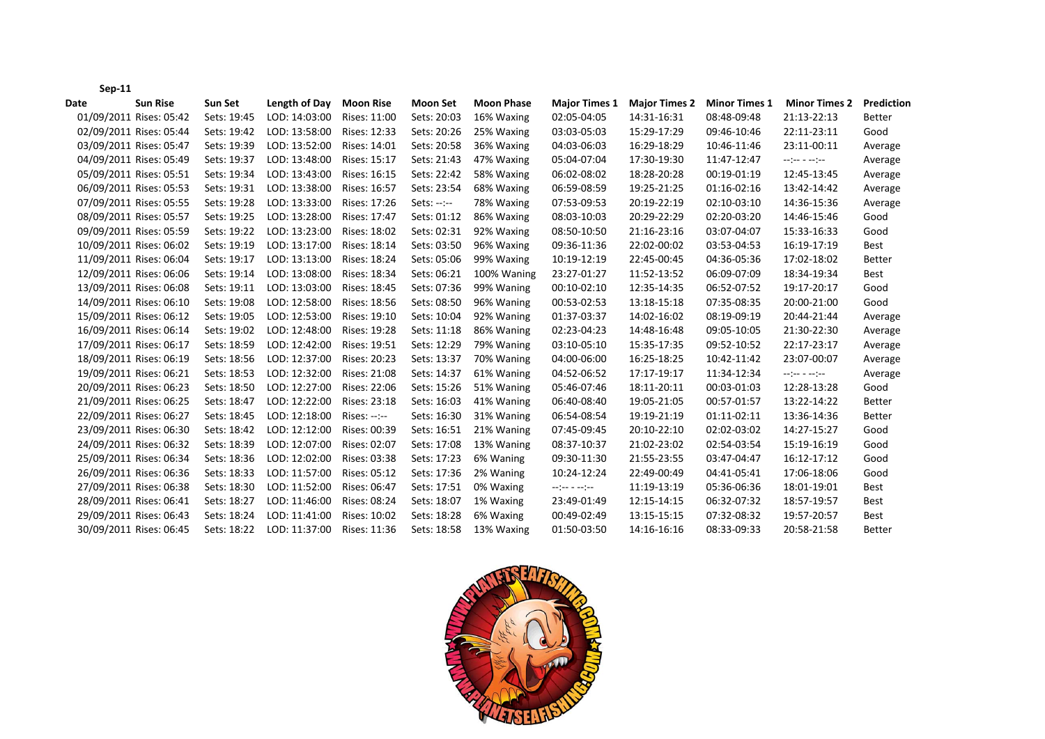|      | $Sep-11$                |             |               |                  |                 |                   |                                                                                                                                                                                                                                                               |                      |                      |                                                                                                                                                                                                |               |
|------|-------------------------|-------------|---------------|------------------|-----------------|-------------------|---------------------------------------------------------------------------------------------------------------------------------------------------------------------------------------------------------------------------------------------------------------|----------------------|----------------------|------------------------------------------------------------------------------------------------------------------------------------------------------------------------------------------------|---------------|
| Date | <b>Sun Rise</b>         | Sun Set     | Length of Day | <b>Moon Rise</b> | <b>Moon Set</b> | <b>Moon Phase</b> | <b>Major Times 1</b>                                                                                                                                                                                                                                          | <b>Major Times 2</b> | <b>Minor Times 1</b> | <b>Minor Times 2</b>                                                                                                                                                                           | Prediction    |
|      | 01/09/2011 Rises: 05:42 | Sets: 19:45 | LOD: 14:03:00 | Rises: 11:00     | Sets: 20:03     | 16% Waxing        | 02:05-04:05                                                                                                                                                                                                                                                   | 14:31-16:31          | 08:48-09:48          | 21:13-22:13                                                                                                                                                                                    | <b>Better</b> |
|      | 02/09/2011 Rises: 05:44 | Sets: 19:42 | LOD: 13:58:00 | Rises: 12:33     | Sets: 20:26     | 25% Waxing        | 03:03-05:03                                                                                                                                                                                                                                                   | 15:29-17:29          | 09:46-10:46          | 22:11-23:11                                                                                                                                                                                    | Good          |
|      | 03/09/2011 Rises: 05:47 | Sets: 19:39 | LOD: 13:52:00 | Rises: 14:01     | Sets: 20:58     | 36% Waxing        | 04:03-06:03                                                                                                                                                                                                                                                   | 16:29-18:29          | 10:46-11:46          | 23:11-00:11                                                                                                                                                                                    | Average       |
|      | 04/09/2011 Rises: 05:49 | Sets: 19:37 | LOD: 13:48:00 | Rises: 15:17     | Sets: 21:43     | 47% Waxing        | 05:04-07:04                                                                                                                                                                                                                                                   | 17:30-19:30          | 11:47-12:47          | $\begin{split} \mathcal{L}_{\mathcal{P}}(\mathcal{L}_{\mathcal{P}}) = \mathcal{L}_{\mathcal{P}}(\mathcal{L}_{\mathcal{P}}) = \mathcal{L}_{\mathcal{P}}(\mathcal{L}_{\mathcal{P}}) \end{split}$ | Average       |
|      | 05/09/2011 Rises: 05:51 | Sets: 19:34 | LOD: 13:43:00 | Rises: 16:15     | Sets: 22:42     | 58% Waxing        | 06:02-08:02                                                                                                                                                                                                                                                   | 18:28-20:28          | 00:19-01:19          | 12:45-13:45                                                                                                                                                                                    | Average       |
|      | 06/09/2011 Rises: 05:53 | Sets: 19:31 | LOD: 13:38:00 | Rises: 16:57     | Sets: 23:54     | 68% Waxing        | 06:59-08:59                                                                                                                                                                                                                                                   | 19:25-21:25          | 01:16-02:16          | 13:42-14:42                                                                                                                                                                                    | Average       |
|      | 07/09/2011 Rises: 05:55 | Sets: 19:28 | LOD: 13:33:00 | Rises: 17:26     | $Sets: --: --$  | 78% Waxing        | 07:53-09:53                                                                                                                                                                                                                                                   | 20:19-22:19          | 02:10-03:10          | 14:36-15:36                                                                                                                                                                                    | Average       |
|      | 08/09/2011 Rises: 05:57 | Sets: 19:25 | LOD: 13:28:00 | Rises: 17:47     | Sets: 01:12     | 86% Waxing        | 08:03-10:03                                                                                                                                                                                                                                                   | 20:29-22:29          | 02:20-03:20          | 14:46-15:46                                                                                                                                                                                    | Good          |
|      | 09/09/2011 Rises: 05:59 | Sets: 19:22 | LOD: 13:23:00 | Rises: 18:02     | Sets: 02:31     | 92% Waxing        | 08:50-10:50                                                                                                                                                                                                                                                   | 21:16-23:16          | 03:07-04:07          | 15:33-16:33                                                                                                                                                                                    | Good          |
|      | 10/09/2011 Rises: 06:02 | Sets: 19:19 | LOD: 13:17:00 | Rises: 18:14     | Sets: 03:50     | 96% Waxing        | 09:36-11:36                                                                                                                                                                                                                                                   | 22:02-00:02          | 03:53-04:53          | 16:19-17:19                                                                                                                                                                                    | Best          |
|      | 11/09/2011 Rises: 06:04 | Sets: 19:17 | LOD: 13:13:00 | Rises: 18:24     | Sets: 05:06     | 99% Waxing        | 10:19-12:19                                                                                                                                                                                                                                                   | 22:45-00:45          | 04:36-05:36          | 17:02-18:02                                                                                                                                                                                    | <b>Better</b> |
|      | 12/09/2011 Rises: 06:06 | Sets: 19:14 | LOD: 13:08:00 | Rises: 18:34     | Sets: 06:21     | 100% Waning       | 23:27-01:27                                                                                                                                                                                                                                                   | 11:52-13:52          | 06:09-07:09          | 18:34-19:34                                                                                                                                                                                    | Best          |
|      | 13/09/2011 Rises: 06:08 | Sets: 19:11 | LOD: 13:03:00 | Rises: 18:45     | Sets: 07:36     | 99% Waning        | 00:10-02:10                                                                                                                                                                                                                                                   | 12:35-14:35          | 06:52-07:52          | 19:17-20:17                                                                                                                                                                                    | Good          |
|      | 14/09/2011 Rises: 06:10 | Sets: 19:08 | LOD: 12:58:00 | Rises: 18:56     | Sets: 08:50     | 96% Waning        | 00:53-02:53                                                                                                                                                                                                                                                   | 13:18-15:18          | 07:35-08:35          | 20:00-21:00                                                                                                                                                                                    | Good          |
|      | 15/09/2011 Rises: 06:12 | Sets: 19:05 | LOD: 12:53:00 | Rises: 19:10     | Sets: 10:04     | 92% Waning        | 01:37-03:37                                                                                                                                                                                                                                                   | 14:02-16:02          | 08:19-09:19          | 20:44-21:44                                                                                                                                                                                    | Average       |
|      | 16/09/2011 Rises: 06:14 | Sets: 19:02 | LOD: 12:48:00 | Rises: 19:28     | Sets: 11:18     | 86% Waning        | 02:23-04:23                                                                                                                                                                                                                                                   | 14:48-16:48          | 09:05-10:05          | 21:30-22:30                                                                                                                                                                                    | Average       |
|      | 17/09/2011 Rises: 06:17 | Sets: 18:59 | LOD: 12:42:00 | Rises: 19:51     | Sets: 12:29     | 79% Waning        | 03:10-05:10                                                                                                                                                                                                                                                   | 15:35-17:35          | 09:52-10:52          | 22:17-23:17                                                                                                                                                                                    | Average       |
|      | 18/09/2011 Rises: 06:19 | Sets: 18:56 | LOD: 12:37:00 | Rises: 20:23     | Sets: 13:37     | 70% Waning        | 04:00-06:00                                                                                                                                                                                                                                                   | 16:25-18:25          | 10:42-11:42          | 23:07-00:07                                                                                                                                                                                    | Average       |
|      | 19/09/2011 Rises: 06:21 | Sets: 18:53 | LOD: 12:32:00 | Rises: 21:08     | Sets: 14:37     | 61% Waning        | 04:52-06:52                                                                                                                                                                                                                                                   | 17:17-19:17          | 11:34-12:34          | $\begin{split} \mathcal{L}_{\mathcal{P}}(\mathcal{L}_{\mathcal{P}}) & = \mathcal{L}_{\mathcal{P}}(\mathcal{L}_{\mathcal{P}}) \end{split}$                                                      | Average       |
|      | 20/09/2011 Rises: 06:23 | Sets: 18:50 | LOD: 12:27:00 | Rises: 22:06     | Sets: 15:26     | 51% Waning        | 05:46-07:46                                                                                                                                                                                                                                                   | 18:11-20:11          | 00:03-01:03          | 12:28-13:28                                                                                                                                                                                    | Good          |
|      | 21/09/2011 Rises: 06:25 | Sets: 18:47 | LOD: 12:22:00 | Rises: 23:18     | Sets: 16:03     | 41% Waning        | 06:40-08:40                                                                                                                                                                                                                                                   | 19:05-21:05          | 00:57-01:57          | 13:22-14:22                                                                                                                                                                                    | <b>Better</b> |
|      | 22/09/2011 Rises: 06:27 | Sets: 18:45 | LOD: 12:18:00 | $Rises: --: --$  | Sets: 16:30     | 31% Waning        | 06:54-08:54                                                                                                                                                                                                                                                   | 19:19-21:19          | 01:11-02:11          | 13:36-14:36                                                                                                                                                                                    | <b>Better</b> |
|      | 23/09/2011 Rises: 06:30 | Sets: 18:42 | LOD: 12:12:00 | Rises: 00:39     | Sets: 16:51     | 21% Waning        | 07:45-09:45                                                                                                                                                                                                                                                   | 20:10-22:10          | 02:02-03:02          | 14:27-15:27                                                                                                                                                                                    | Good          |
|      | 24/09/2011 Rises: 06:32 | Sets: 18:39 | LOD: 12:07:00 | Rises: 02:07     | Sets: 17:08     | 13% Waning        | 08:37-10:37                                                                                                                                                                                                                                                   | 21:02-23:02          | 02:54-03:54          | 15:19-16:19                                                                                                                                                                                    | Good          |
|      | 25/09/2011 Rises: 06:34 | Sets: 18:36 | LOD: 12:02:00 | Rises: 03:38     | Sets: 17:23     | 6% Waning         | 09:30-11:30                                                                                                                                                                                                                                                   | 21:55-23:55          | 03:47-04:47          | 16:12-17:12                                                                                                                                                                                    | Good          |
|      | 26/09/2011 Rises: 06:36 | Sets: 18:33 | LOD: 11:57:00 | Rises: 05:12     | Sets: 17:36     | 2% Waning         | 10:24-12:24                                                                                                                                                                                                                                                   | 22:49-00:49          | 04:41-05:41          | 17:06-18:06                                                                                                                                                                                    | Good          |
|      | 27/09/2011 Rises: 06:38 | Sets: 18:30 | LOD: 11:52:00 | Rises: 06:47     | Sets: 17:51     | 0% Waxing         | $\begin{split} \mathcal{L} = \begin{bmatrix} \mathcal{L} \mathcal{L} \mathcal{L} \end{bmatrix} \mathcal{L} = \begin{bmatrix} \mathcal{L} \mathcal{L} \mathcal{L} \end{bmatrix} \begin{bmatrix} \mathcal{L} \mathcal{L} \mathcal{L} \end{bmatrix} \end{split}$ | 11:19-13:19          | 05:36-06:36          | 18:01-19:01                                                                                                                                                                                    | Best          |
|      | 28/09/2011 Rises: 06:41 | Sets: 18:27 | LOD: 11:46:00 | Rises: 08:24     | Sets: 18:07     | 1% Waxing         | 23:49-01:49                                                                                                                                                                                                                                                   | 12:15-14:15          | 06:32-07:32          | 18:57-19:57                                                                                                                                                                                    | <b>Best</b>   |
|      | 29/09/2011 Rises: 06:43 | Sets: 18:24 | LOD: 11:41:00 | Rises: 10:02     | Sets: 18:28     | 6% Waxing         | 00:49-02:49                                                                                                                                                                                                                                                   | 13:15-15:15          | 07:32-08:32          | 19:57-20:57                                                                                                                                                                                    | <b>Best</b>   |
|      | 30/09/2011 Rises: 06:45 | Sets: 18:22 | LOD: 11:37:00 | Rises: 11:36     | Sets: 18:58     | 13% Waxing        | 01:50-03:50                                                                                                                                                                                                                                                   | 14:16-16:16          | 08:33-09:33          | 20:58-21:58                                                                                                                                                                                    | <b>Better</b> |